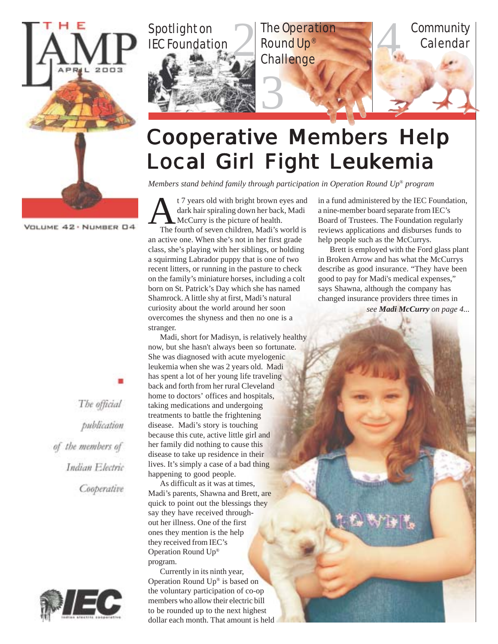

VOLUME 42 · NUMBER 04



#### **Cooperative Members Help** Local Girl Fight Leukemia

*Members stand behind family through participation in Operation Round Up*® *program*

 $\sum_{\text{The }i}$ t 7 years old with bright brown eyes and dark hair spiraling down her back, Madi McCurry is the picture of health. The fourth of seven children, Madi's world is an active one. When she's not in her first grade class, she's playing with her siblings, or holding a squirming Labrador puppy that is one of two recent litters, or running in the pasture to check on the family's miniature horses, including a colt born on St. Patrick's Day which she has named Shamrock. A little shy at first, Madi's natural curiosity about the world around her soon overcomes the shyness and then no one is a stranger.

Madi, short for Madisyn, is relatively healthy now, but she hasn't always been so fortunate. She was diagnosed with acute myelogenic leukemia when she was 2 years old. Madi has spent a lot of her young life traveling back and forth from her rural Cleveland home to doctors' offices and hospitals, taking medications and undergoing treatments to battle the frightening disease. Madi's story is touching because this cute, active little girl and her family did nothing to cause this disease to take up residence in their lives. It's simply a case of a bad thing happening to good people.

As difficult as it was at times, Madi's parents, Shawna and Brett, are quick to point out the blessings they say they have received throughout her illness. One of the first ones they mention is the help they received from IEC's Operation Round Up® program.

Currently in its ninth year, Operation Round Up® is based on the voluntary participation of co-op members who allow their electric bill to be rounded up to the next highest dollar each month. That amount is held in a fund administered by the IEC Foundation, a nine-member board separate from IEC's Board of Trustees. The Foundation regularly reviews applications and disburses funds to help people such as the McCurrys.

*see Madi McCurry on page 4...* Brett is employed with the Ford glass plant in Broken Arrow and has what the McCurrys describe as good insurance. "They have been good to pay for Madi's medical expenses," says Shawna, although the company has changed insurance providers three times in

 $\mathbf{w}$ 

The official publication of the members of Indian Electric Cooperative

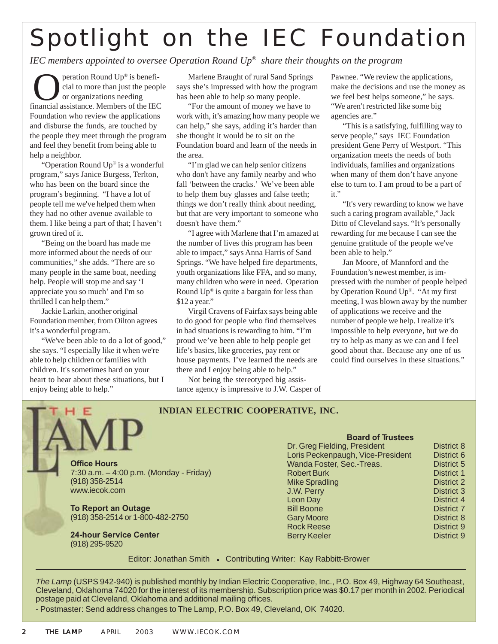# Spotlight on the IEC Foundation

#### *IEC members appointed to oversee Operation Round Up® share their thoughts on the program*

peration Round Up® is beneficial to more than just the people or organizations needing **C** peration Round Up® is beneficial to more than just the people<br>or organizations needing<br>financial assistance. Members of the IEC Foundation who review the applications and disburse the funds, are touched by the people they meet through the program and feel they benefit from being able to help a neighbor.

"Operation Round Up® is a wonderful program," says Janice Burgess, Terlton, who has been on the board since the program's beginning. "I have a lot of people tell me we've helped them when they had no other avenue available to them. I like being a part of that; I haven't grown tired of it.

"Being on the board has made me more informed about the needs of our communities," she adds. "There are so many people in the same boat, needing help. People will stop me and say 'I appreciate you so much' and I'm so thrilled I can help them."

Jackie Larkin, another original Foundation member, from Oilton agrees it's a wonderful program.

"We've been able to do a lot of good," she says. "I especially like it when we're able to help children or families with children. It's sometimes hard on your heart to hear about these situations, but I enjoy being able to help."

Marlene Braught of rural Sand Springs says she's impressed with how the program has been able to help so many people.

"For the amount of money we have to work with, it's amazing how many people we can help," she says, adding it's harder than she thought it would be to sit on the Foundation board and learn of the needs in the area.

"I'm glad we can help senior citizens who don't have any family nearby and who fall 'between the cracks.' We've been able to help them buy glasses and false teeth; things we don't really think about needing, but that are very important to someone who doesn't have them."

"I agree with Marlene that I'm amazed at the number of lives this program has been able to impact," says Anna Harris of Sand Springs. "We have helped fire departments, youth organizations like FFA, and so many, many children who were in need. Operation Round  $Up^{\circledast}$  is quite a bargain for less than \$12 a year."

Virgil Cravens of Fairfax says being able to do good for people who find themselves in bad situations is rewarding to him. "I'm proud we've been able to help people get life's basics, like groceries, pay rent or house payments. I've learned the needs are there and I enjoy being able to help."

Not being the stereotyped big assistance agency is impressive to J.W. Casper of

**INDIAN ELECTRIC COOPERATIVE, INC.**

Pawnee. "We review the applications, make the decisions and use the money as we feel best helps someone," he says. "We aren't restricted like some big agencies are."

"This is a satisfying, fulfilling way to serve people," says IEC Foundation president Gene Perry of Westport. "This organization meets the needs of both individuals, families and organizations when many of them don't have anyone else to turn to. I am proud to be a part of it."

"It's very rewarding to know we have such a caring program available," Jack Ditto of Cleveland says. "It's personally rewarding for me because I can see the genuine gratitude of the people we've been able to help."

Jan Moore, of Mannford and the Foundation's newest member, is impressed with the number of people helped by Operation Round Up®. "At my first meeting, I was blown away by the number of applications we receive and the number of people we help. I realize it's impossible to help everyone, but we do try to help as many as we can and I feel good about that. Because any one of us could find ourselves in these situations."

| <b>Office Hours</b>                     |  |
|-----------------------------------------|--|
| 7:30 a.m. – 4:00 p.m. (Monday - Friday) |  |
| (918) 358-2514                          |  |
| www.iecok.com                           |  |
|                                         |  |

**To Report an Outage** (918) 358-2514 or 1-800-482-2750

**24-hour Service Center** (918) 295-9520

**Board of Trustees** Dr. Greg Fielding, President District 8 Loris Peckenpaugh, Vice-President District 6 Wanda Foster, Sec.-Treas. District 5 Robert Burk District 1 Mike Spradling District 2 **J.W. Perry District 3** Leon Day District 4 Bill Boone District 7 Gary Moore **District 8** Rock Reese District 9 Berry Keeler **District 9** 

Editor: Jonathan Smith • Contributing Writer: Kay Rabbitt-Brower

*The Lamp* (USPS 942-940) is published monthly by Indian Electric Cooperative, Inc., P.O. Box 49, Highway 64 Southeast, Cleveland, Oklahoma 74020 for the interest of its membership. Subscription price was \$0.17 per month in 2002. Periodical postage paid at Cleveland, Oklahoma and additional mailing offices.

- Postmaster: Send address changes to The Lamp, P.O. Box 49, Cleveland, OK 74020.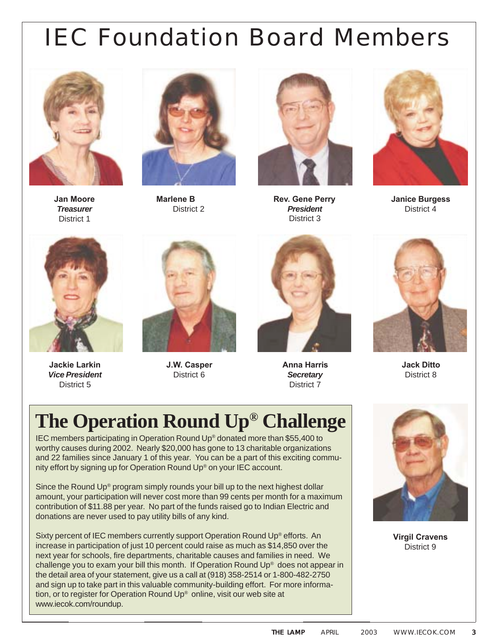# IEC Foundation Board Members



**Jan Moore** *Treasurer* District 1



**Marlene B** District 2



**Rev. Gene Perry** *President* District 3



**Janice Burgess** District 4



**Jackie Larkin** *Vice President* District 5



**J.W. Casper** District 6



**Anna Harris** *Secretary* District 7



**Jack Ditto** District 8

### **The Operation Round Up® Challenge**

IEC members participating in Operation Round Up® donated more than \$55,400 to worthy causes during 2002. Nearly \$20,000 has gone to 13 charitable organizations and 22 families since January 1 of this year. You can be a part of this exciting community effort by signing up for Operation Round Up® on your IEC account.

Since the Round Up® program simply rounds your bill up to the next highest dollar amount, your participation will never cost more than 99 cents per month for a maximum contribution of \$11.88 per year. No part of the funds raised go to Indian Electric and donations are never used to pay utility bills of any kind.

Sixty percent of IEC members currently support Operation Round Up® efforts. An increase in participation of just 10 percent could raise as much as \$14,850 over the next year for schools, fire departments, charitable causes and families in need. We challenge you to exam your bill this month. If Operation Round Up® does not appear in the detail area of your statement, give us a call at (918) 358-2514 or 1-800-482-2750 and sign up to take part in this valuable community-building effort. For more information, or to register for Operation Round Up® online, visit our web site at www.iecok.com/roundup.



**Virgil Cravens** District 9